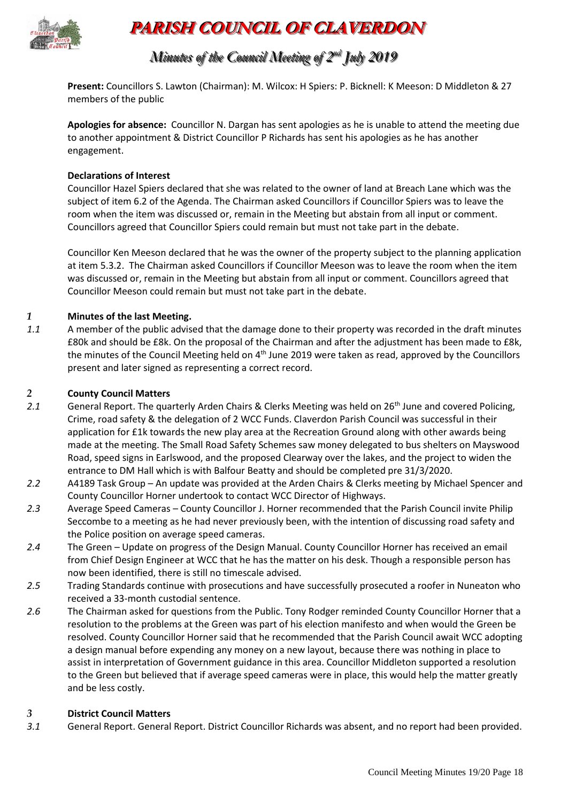

# **PARISH COUNCIL OF CLAVERDON**

## *Minutes of the Council Meeting of 2 nndd July 2019*

**Present:** Councillors S. Lawton (Chairman): M. Wilcox: H Spiers: P. Bicknell: K Meeson: D Middleton & 27 members of the public

**Apologies for absence:** Councillor N. Dargan has sent apologies as he is unable to attend the meeting due to another appointment & District Councillor P Richards has sent his apologies as he has another engagement.

#### **Declarations of Interest**

Councillor Hazel Spiers declared that she was related to the owner of land at Breach Lane which was the subject of item 6.2 of the Agenda. The Chairman asked Councillors if Councillor Spiers was to leave the room when the item was discussed or, remain in the Meeting but abstain from all input or comment. Councillors agreed that Councillor Spiers could remain but must not take part in the debate.

Councillor Ken Meeson declared that he was the owner of the property subject to the planning application at item 5.3.2. The Chairman asked Councillors if Councillor Meeson was to leave the room when the item was discussed or, remain in the Meeting but abstain from all input or comment. Councillors agreed that Councillor Meeson could remain but must not take part in the debate.

#### *1* **Minutes of the last Meeting.**

*1.1* A member of the public advised that the damage done to their property was recorded in the draft minutes £80k and should be £8k. On the proposal of the Chairman and after the adjustment has been made to £8k, the minutes of the Council Meeting held on 4<sup>th</sup> June 2019 were taken as read, approved by the Councillors present and later signed as representing a correct record.

#### *2* **County Council Matters**

- 2.1 General Report. The quarterly Arden Chairs & Clerks Meeting was held on 26<sup>th</sup> June and covered Policing, Crime, road safety & the delegation of 2 WCC Funds. Claverdon Parish Council was successful in their application for £1k towards the new play area at the Recreation Ground along with other awards being made at the meeting. The Small Road Safety Schemes saw money delegated to bus shelters on Mayswood Road, speed signs in Earlswood, and the proposed Clearway over the lakes, and the project to widen the entrance to DM Hall which is with Balfour Beatty and should be completed pre 31/3/2020.
- *2.2* A4189 Task Group An update was provided at the Arden Chairs & Clerks meeting by Michael Spencer and County Councillor Horner undertook to contact WCC Director of Highways.
- *2.3* Average Speed Cameras County Councillor J. Horner recommended that the Parish Council invite Philip Seccombe to a meeting as he had never previously been, with the intention of discussing road safety and the Police position on average speed cameras.
- *2.4* The Green Update on progress of the Design Manual. County Councillor Horner has received an email from Chief Design Engineer at WCC that he has the matter on his desk. Though a responsible person has now been identified, there is still no timescale advised.
- *2.5* Trading Standards continue with prosecutions and have successfully prosecuted a roofer in Nuneaton who received a 33-month custodial sentence.
- *2.6* The Chairman asked for questions from the Public. Tony Rodger reminded County Councillor Horner that a resolution to the problems at the Green was part of his election manifesto and when would the Green be resolved. County Councillor Horner said that he recommended that the Parish Council await WCC adopting a design manual before expending any money on a new layout, because there was nothing in place to assist in interpretation of Government guidance in this area. Councillor Middleton supported a resolution to the Green but believed that if average speed cameras were in place, this would help the matter greatly and be less costly.

#### *3* **District Council Matters**

*3.1* General Report. General Report. District Councillor Richards was absent, and no report had been provided.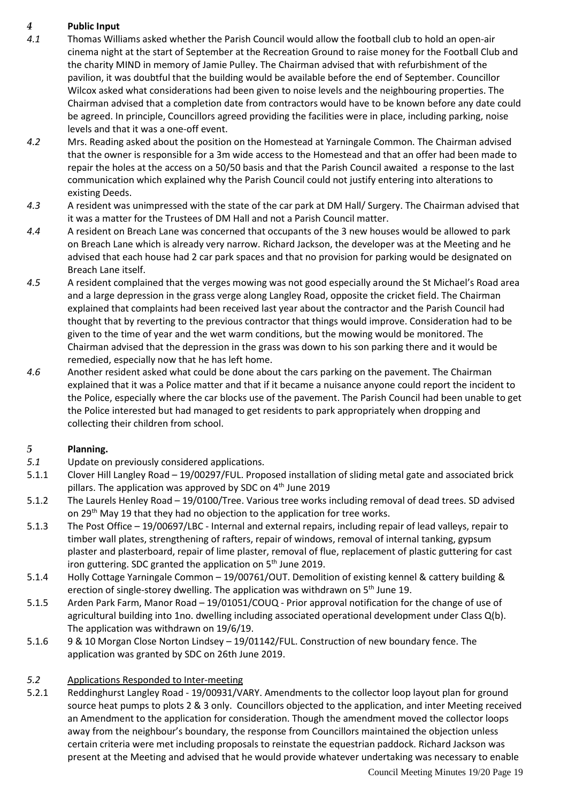## *4* **Public Input**

- *4.1* Thomas Williams asked whether the Parish Council would allow the football club to hold an open-air cinema night at the start of September at the Recreation Ground to raise money for the Football Club and the charity MIND in memory of Jamie Pulley. The Chairman advised that with refurbishment of the pavilion, it was doubtful that the building would be available before the end of September. Councillor Wilcox asked what considerations had been given to noise levels and the neighbouring properties. The Chairman advised that a completion date from contractors would have to be known before any date could be agreed. In principle, Councillors agreed providing the facilities were in place, including parking, noise levels and that it was a one-off event.
- *4.2* Mrs. Reading asked about the position on the Homestead at Yarningale Common. The Chairman advised that the owner is responsible for a 3m wide access to the Homestead and that an offer had been made to repair the holes at the access on a 50/50 basis and that the Parish Council awaited a response to the last communication which explained why the Parish Council could not justify entering into alterations to existing Deeds.
- *4.3* A resident was unimpressed with the state of the car park at DM Hall/ Surgery. The Chairman advised that it was a matter for the Trustees of DM Hall and not a Parish Council matter.
- *4.4* A resident on Breach Lane was concerned that occupants of the 3 new houses would be allowed to park on Breach Lane which is already very narrow. Richard Jackson, the developer was at the Meeting and he advised that each house had 2 car park spaces and that no provision for parking would be designated on Breach Lane itself.
- *4.5* A resident complained that the verges mowing was not good especially around the St Michael's Road area and a large depression in the grass verge along Langley Road, opposite the cricket field. The Chairman explained that complaints had been received last year about the contractor and the Parish Council had thought that by reverting to the previous contractor that things would improve. Consideration had to be given to the time of year and the wet warm conditions, but the mowing would be monitored. The Chairman advised that the depression in the grass was down to his son parking there and it would be remedied, especially now that he has left home.
- *4.6* Another resident asked what could be done about the cars parking on the pavement. The Chairman explained that it was a Police matter and that if it became a nuisance anyone could report the incident to the Police, especially where the car blocks use of the pavement. The Parish Council had been unable to get the Police interested but had managed to get residents to park appropriately when dropping and collecting their children from school.

## *5* **Planning.**

- *5.1* Update on previously considered applications.
- 5.1.1 Clover Hill Langley Road 19/00297/FUL. Proposed installation of sliding metal gate and associated brick pillars. The application was approved by SDC on 4<sup>th</sup> June 2019
- 5.1.2 The Laurels Henley Road 19/0100/Tree. Various tree works including removal of dead trees. SD advised on 29<sup>th</sup> May 19 that they had no objection to the application for tree works.
- 5.1.3 The Post Office 19/00697/LBC Internal and external repairs, including repair of lead valleys, repair to timber wall plates, strengthening of rafters, repair of windows, removal of internal tanking, gypsum plaster and plasterboard, repair of lime plaster, removal of flue, replacement of plastic guttering for cast iron guttering. SDC granted the application on  $5<sup>th</sup>$  June 2019.
- 5.1.4 Holly Cottage Yarningale Common 19/00761/OUT. Demolition of existing kennel & cattery building & erection of single-storey dwelling. The application was withdrawn on  $5<sup>th</sup>$  June 19.
- 5.1.5 Arden Park Farm, Manor Road 19/01051/COUQ Prior approval notification for the change of use of agricultural building into 1no. dwelling including associated operational development under Class Q(b). The application was withdrawn on 19/6/19.
- 5.1.6 9 & 10 Morgan Close Norton Lindsey 19/01142/FUL. Construction of new boundary fence. The application was granted by SDC on 26th June 2019.

#### *5.2* Applications Responded to Inter-meeting

5.2.1 Reddinghurst Langley Road - 19/00931/VARY. Amendments to the collector loop layout plan for ground source heat pumps to plots 2 & 3 only. Councillors objected to the application, and inter Meeting received an Amendment to the application for consideration. Though the amendment moved the collector loops away from the neighbour's boundary, the response from Councillors maintained the objection unless certain criteria were met including proposals to reinstate the equestrian paddock. Richard Jackson was present at the Meeting and advised that he would provide whatever undertaking was necessary to enable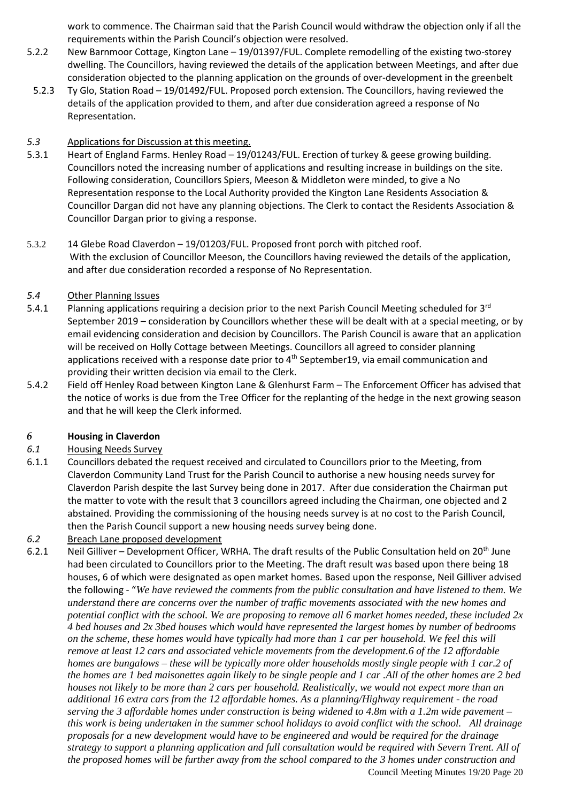work to commence. The Chairman said that the Parish Council would withdraw the objection only if all the requirements within the Parish Council's objection were resolved.

- 5.2.2 New Barnmoor Cottage, Kington Lane 19/01397/FUL. Complete remodelling of the existing two-storey dwelling. The Councillors, having reviewed the details of the application between Meetings, and after due consideration objected to the planning application on the grounds of over-development in the greenbelt
- 5.2.3 Ty Glo, Station Road 19/01492/FUL. Proposed porch extension. The Councillors, having reviewed the details of the application provided to them, and after due consideration agreed a response of No Representation.

#### *5.3* Applications for Discussion at this meeting.

- 5.3.1 Heart of England Farms. Henley Road 19/01243/FUL. Erection of turkey & geese growing building. Councillors noted the increasing number of applications and resulting increase in buildings on the site. Following consideration, Councillors Spiers, Meeson & Middleton were minded, to give a No Representation response to the Local Authority provided the Kington Lane Residents Association & Councillor Dargan did not have any planning objections. The Clerk to contact the Residents Association & Councillor Dargan prior to giving a response.
- 5.3.2 14 Glebe Road Claverdon 19/01203/FUL. Proposed front porch with pitched roof. With the exclusion of Councillor Meeson, the Councillors having reviewed the details of the application, and after due consideration recorded a response of No Representation.

#### *5.4* Other Planning Issues

- 5.4.1 Planning applications requiring a decision prior to the next Parish Council Meeting scheduled for 3<sup>rd</sup> September 2019 – consideration by Councillors whether these will be dealt with at a special meeting, or by email evidencing consideration and decision by Councillors. The Parish Council is aware that an application will be received on Holly Cottage between Meetings. Councillors all agreed to consider planning applications received with a response date prior to 4<sup>th</sup> September19, via email communication and providing their written decision via email to the Clerk.
- 5.4.2 Field off Henley Road between Kington Lane & Glenhurst Farm The Enforcement Officer has advised that the notice of works is due from the Tree Officer for the replanting of the hedge in the next growing season and that he will keep the Clerk informed.

#### *6* **Housing in Claverdon**

#### *6.1* Housing Needs Survey

- 6.1.1 Councillors debated the request received and circulated to Councillors prior to the Meeting, from Claverdon Community Land Trust for the Parish Council to authorise a new housing needs survey for Claverdon Parish despite the last Survey being done in 2017. After due consideration the Chairman put the matter to vote with the result that 3 councillors agreed including the Chairman, one objected and 2 abstained. Providing the commissioning of the housing needs survey is at no cost to the Parish Council, then the Parish Council support a new housing needs survey being done.
- *6.2* Breach Lane proposed development
- Council Meeting Minutes 19/20 Page 20 6.2.1 Neil Gilliver – Development Officer, WRHA. The draft results of the Public Consultation held on 20<sup>th</sup> June had been circulated to Councillors prior to the Meeting. The draft result was based upon there being 18 houses, 6 of which were designated as open market homes. Based upon the response, Neil Gilliver advised the following - "*We have reviewed the comments from the public consultation and have listened to them. We understand there are concerns over the number of traffic movements associated with the new homes and potential conflict with the school. We are proposing to remove all 6 market homes needed, these included 2x 4 bed houses and 2x 3bed houses which would have represented the largest homes by number of bedrooms on the scheme, these homes would have typically had more than 1 car per household. We feel this will remove at least 12 cars and associated vehicle movements from the development.6 of the 12 affordable homes are bungalows – these will be typically more older households mostly single people with 1 car.2 of the homes are 1 bed maisonettes again likely to be single people and 1 car .All of the other homes are 2 bed houses not likely to be more than 2 cars per household. Realistically, we would not expect more than an additional 16 extra cars from the 12 affordable homes. As a planning/Highway requirement - the road serving the 3 affordable homes under construction is being widened to 4.8m with a 1.2m wide pavement – this work is being undertaken in the summer school holidays to avoid conflict with the school. All drainage proposals for a new development would have to be engineered and would be required for the drainage strategy to support a planning application and full consultation would be required with Severn Trent. All of the proposed homes will be further away from the school compared to the 3 homes under construction and*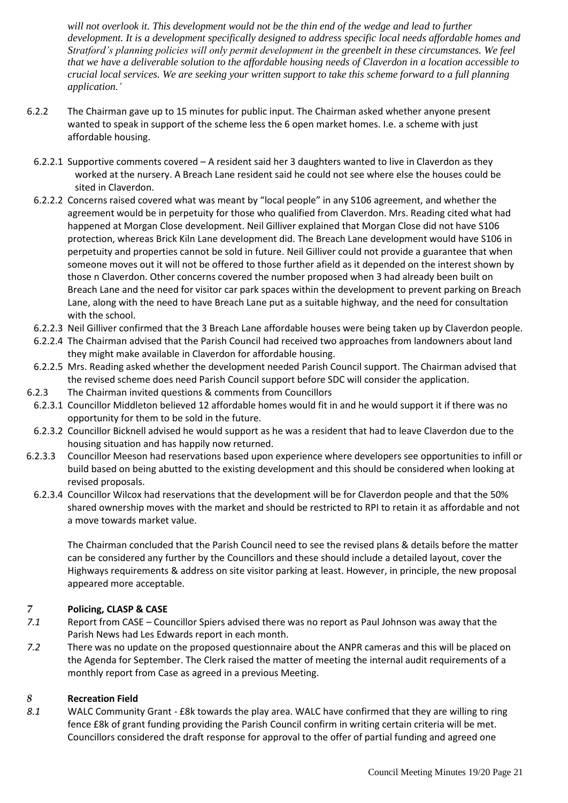*will not overlook it. This development would not be the thin end of the wedge and lead to further development. It is a development specifically designed to address specific local needs affordable homes and Stratford's planning policies will only permit development in the greenbelt in these circumstances. We feel that we have a deliverable solution to the affordable housing needs of Claverdon in a location accessible to crucial local services. We are seeking your written support to take this scheme forward to a full planning application.'*

- 6.2.2 The Chairman gave up to 15 minutes for public input. The Chairman asked whether anyone present wanted to speak in support of the scheme less the 6 open market homes. I.e. a scheme with just affordable housing.
- 6.2.2.1 Supportive comments covered A resident said her 3 daughters wanted to live in Claverdon as they worked at the nursery. A Breach Lane resident said he could not see where else the houses could be sited in Claverdon.
- 6.2.2.2 Concerns raised covered what was meant by "local people" in any S106 agreement, and whether the agreement would be in perpetuity for those who qualified from Claverdon. Mrs. Reading cited what had happened at Morgan Close development. Neil Gilliver explained that Morgan Close did not have S106 protection, whereas Brick Kiln Lane development did. The Breach Lane development would have S106 in perpetuity and properties cannot be sold in future. Neil Gilliver could not provide a guarantee that when someone moves out it will not be offered to those further afield as it depended on the interest shown by those n Claverdon. Other concerns covered the number proposed when 3 had already been built on Breach Lane and the need for visitor car park spaces within the development to prevent parking on Breach Lane, along with the need to have Breach Lane put as a suitable highway, and the need for consultation with the school.
- 6.2.2.3 Neil Gilliver confirmed that the 3 Breach Lane affordable houses were being taken up by Claverdon people.
- 6.2.2.4 The Chairman advised that the Parish Council had received two approaches from landowners about land they might make available in Claverdon for affordable housing.
- 6.2.2.5 Mrs. Reading asked whether the development needed Parish Council support. The Chairman advised that the revised scheme does need Parish Council support before SDC will consider the application.
- 6.2.3 The Chairman invited questions & comments from Councillors
- 6.2.3.1 Councillor Middleton believed 12 affordable homes would fit in and he would support it if there was no opportunity for them to be sold in the future.
- 6.2.3.2 Councillor Bicknell advised he would support as he was a resident that had to leave Claverdon due to the housing situation and has happily now returned.
- 6.2.3.3 Councillor Meeson had reservations based upon experience where developers see opportunities to infill or build based on being abutted to the existing development and this should be considered when looking at revised proposals.
	- 6.2.3.4 Councillor Wilcox had reservations that the development will be for Claverdon people and that the 50% shared ownership moves with the market and should be restricted to RPI to retain it as affordable and not a move towards market value.

The Chairman concluded that the Parish Council need to see the revised plans & details before the matter can be considered any further by the Councillors and these should include a detailed layout, cover the Highways requirements & address on site visitor parking at least. However, in principle, the new proposal appeared more acceptable.

#### *7* **Policing, CLASP & CASE**

- *7.1* Report from CASE Councillor Spiers advised there was no report as Paul Johnson was away that the Parish News had Les Edwards report in each month.
- *7.2* There was no update on the proposed questionnaire about the ANPR cameras and this will be placed on the Agenda for September. The Clerk raised the matter of meeting the internal audit requirements of a monthly report from Case as agreed in a previous Meeting.

#### *8* **Recreation Field**

*8.1* WALC Community Grant - £8k towards the play area. WALC have confirmed that they are willing to ring fence £8k of grant funding providing the Parish Council confirm in writing certain criteria will be met. Councillors considered the draft response for approval to the offer of partial funding and agreed one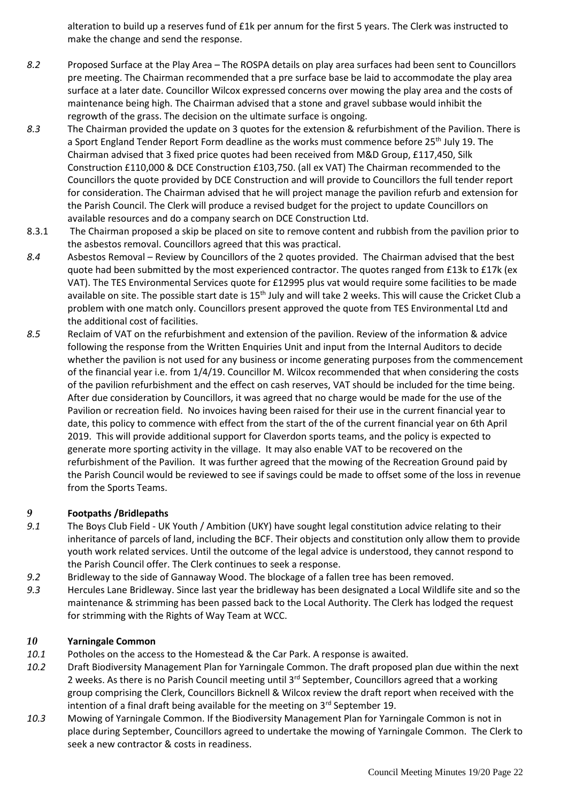alteration to build up a reserves fund of £1k per annum for the first 5 years. The Clerk was instructed to make the change and send the response.

- *8.2* Proposed Surface at the Play Area The ROSPA details on play area surfaces had been sent to Councillors pre meeting. The Chairman recommended that a pre surface base be laid to accommodate the play area surface at a later date. Councillor Wilcox expressed concerns over mowing the play area and the costs of maintenance being high. The Chairman advised that a stone and gravel subbase would inhibit the regrowth of the grass. The decision on the ultimate surface is ongoing.
- *8.3* The Chairman provided the update on 3 quotes for the extension & refurbishment of the Pavilion. There is a Sport England Tender Report Form deadline as the works must commence before 25<sup>th</sup> July 19. The Chairman advised that 3 fixed price quotes had been received from M&D Group, £117,450, Silk Construction £110,000 & DCE Construction £103,750. (all ex VAT) The Chairman recommended to the Councillors the quote provided by DCE Construction and will provide to Councillors the full tender report for consideration. The Chairman advised that he will project manage the pavilion refurb and extension for the Parish Council. The Clerk will produce a revised budget for the project to update Councillors on available resources and do a company search on DCE Construction Ltd.
- 8.3.1 The Chairman proposed a skip be placed on site to remove content and rubbish from the pavilion prior to the asbestos removal. Councillors agreed that this was practical.
- *8.4* Asbestos Removal Review by Councillors of the 2 quotes provided. The Chairman advised that the best quote had been submitted by the most experienced contractor. The quotes ranged from £13k to £17k (ex VAT). The TES Environmental Services quote for £12995 plus vat would require some facilities to be made available on site. The possible start date is  $15<sup>th</sup>$  July and will take 2 weeks. This will cause the Cricket Club a problem with one match only. Councillors present approved the quote from TES Environmental Ltd and the additional cost of facilities.
- *8.5* Reclaim of VAT on the refurbishment and extension of the pavilion. Review of the information & advice following the response from the Written Enquiries Unit and input from the Internal Auditors to decide whether the pavilion is not used for any business or income generating purposes from the commencement of the financial year i.e. from 1/4/19. Councillor M. Wilcox recommended that when considering the costs of the pavilion refurbishment and the effect on cash reserves, VAT should be included for the time being. After due consideration by Councillors, it was agreed that no charge would be made for the use of the Pavilion or recreation field. No invoices having been raised for their use in the current financial year to date, this policy to commence with effect from the start of the of the current financial year on 6th April 2019. This will provide additional support for Claverdon sports teams, and the policy is expected to generate more sporting activity in the village. It may also enable VAT to be recovered on the refurbishment of the Pavilion. It was further agreed that the mowing of the Recreation Ground paid by the Parish Council would be reviewed to see if savings could be made to offset some of the loss in revenue from the Sports Teams.

#### *9* **Footpaths /Bridlepaths**

- *9.1* The Boys Club Field UK Youth / Ambition (UKY) have sought legal constitution advice relating to their inheritance of parcels of land, including the BCF. Their objects and constitution only allow them to provide youth work related services. Until the outcome of the legal advice is understood, they cannot respond to the Parish Council offer. The Clerk continues to seek a response.
- *9.2* Bridleway to the side of Gannaway Wood. The blockage of a fallen tree has been removed.
- *9.3* Hercules Lane Bridleway. Since last year the bridleway has been designated a Local Wildlife site and so the maintenance & strimming has been passed back to the Local Authority. The Clerk has lodged the request for strimming with the Rights of Way Team at WCC.

#### *10* **Yarningale Common**

- *10.1* Potholes on the access to the Homestead & the Car Park. A response is awaited.
- *10.2* Draft Biodiversity Management Plan for Yarningale Common. The draft proposed plan due within the next 2 weeks. As there is no Parish Council meeting until 3<sup>rd</sup> September, Councillors agreed that a working group comprising the Clerk, Councillors Bicknell & Wilcox review the draft report when received with the intention of a final draft being available for the meeting on  $3<sup>rd</sup>$  September 19.
- *10.3* Mowing of Yarningale Common. If the Biodiversity Management Plan for Yarningale Common is not in place during September, Councillors agreed to undertake the mowing of Yarningale Common. The Clerk to seek a new contractor & costs in readiness.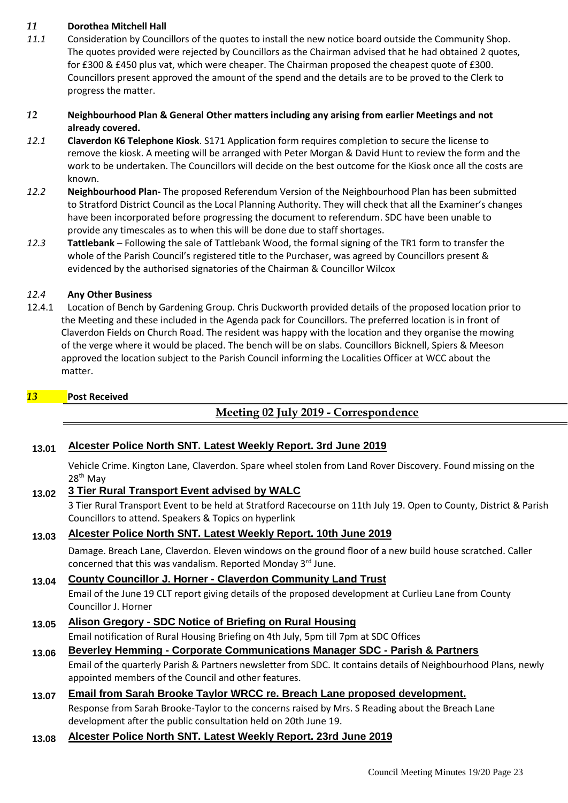#### *11* **Dorothea Mitchell Hall**

*11.1* Consideration by Councillors of the quotes to install the new notice board outside the Community Shop. The quotes provided were rejected by Councillors as the Chairman advised that he had obtained 2 quotes, for £300 & £450 plus vat, which were cheaper. The Chairman proposed the cheapest quote of £300. Councillors present approved the amount of the spend and the details are to be proved to the Clerk to progress the matter.

#### *12* **Neighbourhood Plan & General Other matters including any arising from earlier Meetings and not already covered.**

- *12.1* **Claverdon K6 Telephone Kiosk**. S171 Application form requires completion to secure the license to remove the kiosk. A meeting will be arranged with Peter Morgan & David Hunt to review the form and the work to be undertaken. The Councillors will decide on the best outcome for the Kiosk once all the costs are known.
- *12.2* **Neighbourhood Plan-** The proposed Referendum Version of the Neighbourhood Plan has been submitted to Stratford District Council as the Local Planning Authority. They will check that all the Examiner's changes have been incorporated before progressing the document to referendum. SDC have been unable to provide any timescales as to when this will be done due to staff shortages.
- *12.3* **Tattlebank**  Following the sale of Tattlebank Wood, the formal signing of the TR1 form to transfer the whole of the Parish Council's registered title to the Purchaser, was agreed by Councillors present & evidenced by the authorised signatories of the Chairman & Councillor Wilcox

#### *12.4* **Any Other Business**

12.4.1 Location of Bench by Gardening Group. Chris Duckworth provided details of the proposed location prior to the Meeting and these included in the Agenda pack for Councillors. The preferred location is in front of Claverdon Fields on Church Road. The resident was happy with the location and they organise the mowing of the verge where it would be placed. The bench will be on slabs. Councillors Bicknell, Spiers & Meeson approved the location subject to the Parish Council informing the Localities Officer at WCC about the matter.

#### *13* **Post Received**

## **Meeting 02 July 2019 - Correspondence**

#### **13.01 Alcester Police North SNT. Latest Weekly Report. 3rd June 2019**

Vehicle Crime. Kington Lane, Claverdon. Spare wheel stolen from Land Rover Discovery. Found missing on the 28<sup>th</sup> May

#### **13.02 3 Tier Rural Transport Event advised by WALC**

3 Tier Rural Transport Event to be held at Stratford Racecourse on 11th July 19. Open to County, District & Parish Councillors to attend. Speakers & Topics on hyperlink

#### **13.03 Alcester Police North SNT. Latest Weekly Report. 10th June 2019**

Damage. Breach Lane, Claverdon. Eleven windows on the ground floor of a new build house scratched. Caller concerned that this was vandalism. Reported Monday 3<sup>rd</sup> June.

## **13.04 County Councillor J. Horner - Claverdon Community Land Trust**

Email of the June 19 CLT report giving details of the proposed development at Curlieu Lane from County Councillor J. Horner

## **13.05 Alison Gregory - SDC Notice of Briefing on Rural Housing**

Email notification of Rural Housing Briefing on 4th July, 5pm till 7pm at SDC Offices

#### **13.06 Beverley Hemming - Corporate Communications Manager SDC - Parish & Partners**

Email of the quarterly Parish & Partners newsletter from SDC. It contains details of Neighbourhood Plans, newly appointed members of the Council and other features.

### **13.07 Email from Sarah Brooke Taylor WRCC re. Breach Lane proposed development.**  Response from Sarah Brooke-Taylor to the concerns raised by Mrs. S Reading about the Breach Lane development after the public consultation held on 20th June 19.

#### **13.08 Alcester Police North SNT. Latest Weekly Report. 23rd June 2019**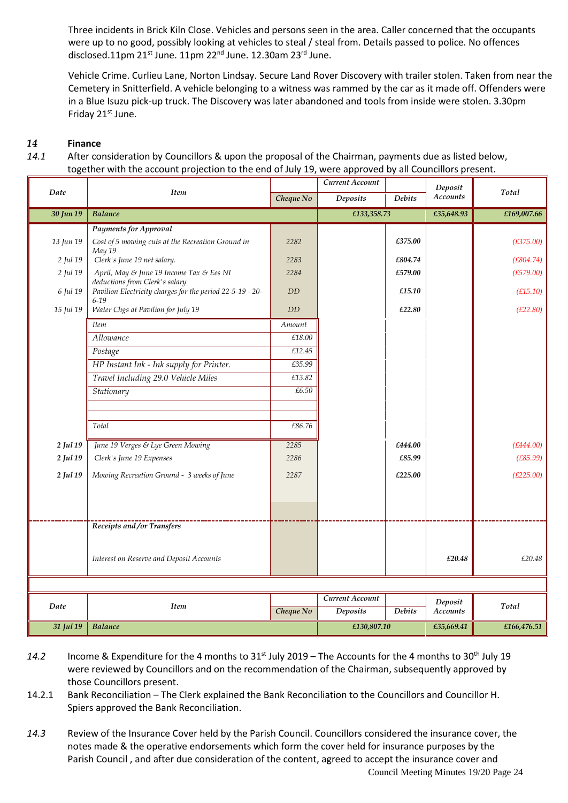Three incidents in Brick Kiln Close. Vehicles and persons seen in the area. Caller concerned that the occupants were up to no good, possibly looking at vehicles to steal / steal from. Details passed to police. No offences disclosed.11pm 21st June. 11pm 22<sup>nd</sup> June. 12.30am 23<sup>rd</sup> June.

Vehicle Crime. Curlieu Lane, Norton Lindsay. Secure Land Rover Discovery with trailer stolen. Taken from near the Cemetery in Snitterfield. A vehicle belonging to a witness was rammed by the car as it made off. Offenders were in a Blue Isuzu pick-up truck. The Discovery was later abandoned and tools from inside were stolen. 3.30pm Friday 21<sup>st</sup> June.

### *14* **Finance**

*14.1* After consideration by Councillors & upon the proposal of the Chairman, payments due as listed below, together with the account projection to the end of July 19, were approved by all Councillors present.

|           |                                                                            |              | Current Account |                | Deposit         |             |
|-----------|----------------------------------------------------------------------------|--------------|-----------------|----------------|-----------------|-------------|
| Date      | <b>Item</b>                                                                | Cheque No    | Deposits        | <b>Debits</b>  | <b>Accounts</b> | Total       |
| 30 Jun 19 | <b>Balance</b>                                                             |              | £133,358.73     |                | £35,648.93      | £169,007.66 |
|           | <b>Payments for Approval</b>                                               |              |                 |                |                 |             |
| 13 Jun 19 | Cost of 5 mowing cuts at the Recreation Ground in<br>May 19                | 2282         |                 | £375.00        |                 | (E375.00)   |
| 2 Jul 19  | Clerk's June 19 net salary.                                                | 2283         |                 | £804.74        |                 | (E804.74)   |
| 2 Jul 19  | April, May & June 19 Income Tax & Ees NI<br>deductions from Clerk's salary | 2284         |                 | £579.00        |                 | (E579.00)   |
| 6 Jul 19  | Pavilion Electricity charges for the period 22-5-19 - 20-<br>$6 - 19$      | DD           |                 | £15.10         |                 | (E15.10)    |
| 15 Jul 19 | Water Chgs at Pavilion for July 19                                         | DD           |                 | $\pounds22.80$ |                 | (E22.80)    |
|           | <b>Item</b>                                                                | Amount       |                 |                |                 |             |
|           | Allowance                                                                  | £18.00       |                 |                |                 |             |
|           | Postage                                                                    | £12.45       |                 |                |                 |             |
|           | HP Instant Ink - Ink supply for Printer.                                   | £35.99       |                 |                |                 |             |
|           | Travel Including 29.0 Vehicle Miles                                        | £13.82       |                 |                |                 |             |
|           | Stationary                                                                 | £6.50        |                 |                |                 |             |
|           |                                                                            |              |                 |                |                 |             |
|           | Total                                                                      | £86.76       |                 |                |                 |             |
|           |                                                                            |              |                 |                |                 |             |
| 2 Jul 19  | June 19 Verges & Lye Green Mowing                                          | 2285<br>2286 |                 | £444.00        |                 | (E444.00)   |
| 2 Jul 19  | Clerk's June 19 Expenses                                                   |              |                 | £85.99         |                 | (E85.99)    |
| 2 Jul 19  | Mowing Recreation Ground - 3 weeks of June                                 | 2287         |                 | £225.00        |                 | (E225.00)   |
|           |                                                                            |              |                 |                |                 |             |
|           |                                                                            |              |                 |                |                 |             |
|           | Receipts and /or Transfers                                                 |              |                 |                |                 |             |
|           |                                                                            |              |                 |                |                 |             |
|           |                                                                            |              |                 |                |                 |             |
|           | Interest on Reserve and Deposit Accounts                                   |              |                 |                | £20.48          | £20.48      |
|           |                                                                            |              |                 |                |                 |             |
|           |                                                                            |              | Current Account |                | Deposit         |             |
|           | Date<br><b>Item</b>                                                        |              | <b>Deposits</b> | <b>Debits</b>  | Accounts        | Total       |
| 31 Jul 19 | <b>Balance</b>                                                             |              | £130,807.10     |                | £35,669.41      | £166,476.51 |

- *14.2* Income & Expenditure for the 4 months to 31st July 2019 The Accounts for the 4 months to 30th July 19 were reviewed by Councillors and on the recommendation of the Chairman, subsequently approved by those Councillors present.
- 14.2.1 Bank Reconciliation The Clerk explained the Bank Reconciliation to the Councillors and Councillor H. Spiers approved the Bank Reconciliation.
- *14.3* Review of the Insurance Cover held by the Parish Council. Councillors considered the insurance cover, the notes made & the operative endorsements which form the cover held for insurance purposes by the Parish Council , and after due consideration of the content, agreed to accept the insurance cover and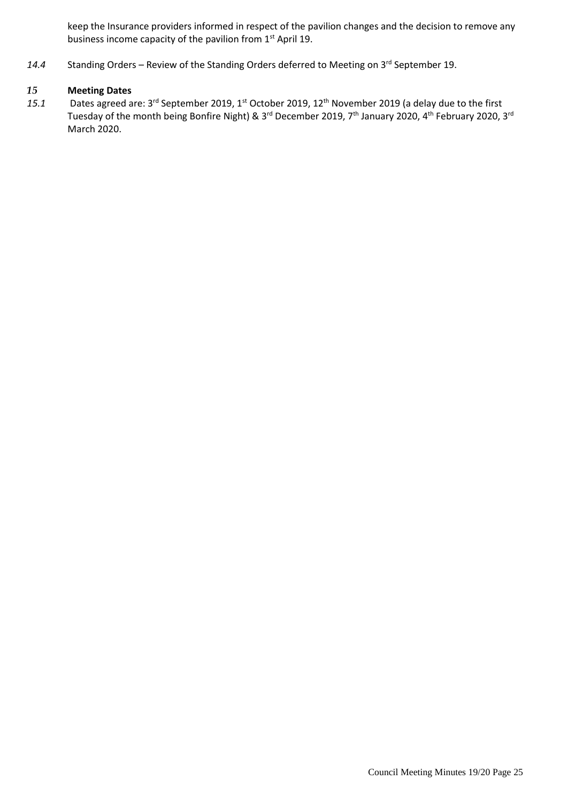keep the Insurance providers informed in respect of the pavilion changes and the decision to remove any business income capacity of the pavilion from 1<sup>st</sup> April 19.

14.4 Standing Orders – Review of the Standing Orders deferred to Meeting on 3<sup>rd</sup> September 19.

#### *15* **Meeting Dates**

15.1 Dates agreed are: 3<sup>rd</sup> September 2019, 1<sup>st</sup> October 2019, 12<sup>th</sup> November 2019 (a delay due to the first Tuesday of the month being Bonfire Night) & 3<sup>rd</sup> December 2019, 7<sup>th</sup> January 2020, 4<sup>th</sup> February 2020, 3<sup>rd</sup> March 2020.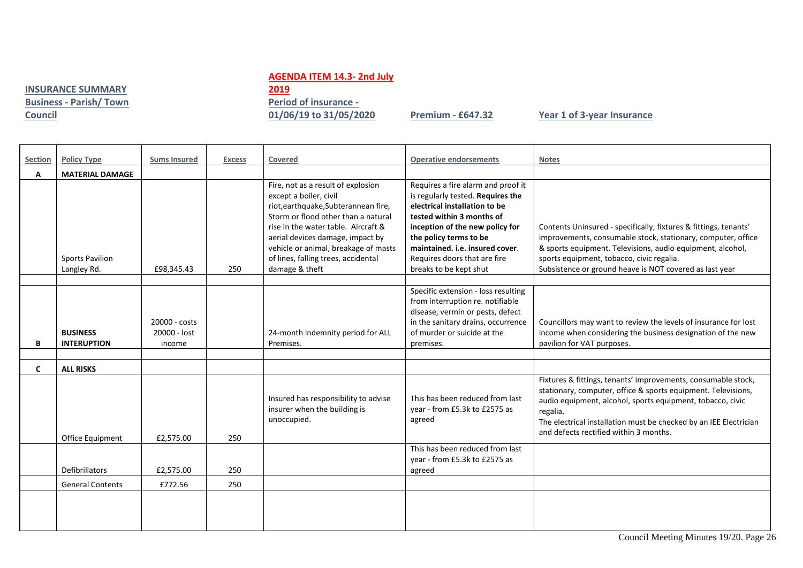#### **AGENDA ITEM 14.3- 2nd July**

**INSURANCE SUMMARY Business - Parish/ Town Council** 

## **2019 Period of insurance -**

**01/06/19 to 31/05/2020 Premium - £647.32 Year 1 of 3-year Insurance**

| <b>Section</b> | <b>Policy Type</b>                    | <b>Sums Insured</b>                     | <b>Excess</b> | <b>Covered</b>                                                                                                                                                                                                                                                                                                          | <b>Operative endorsements</b>                                                                                                                                                                                                                                                                   | <b>Notes</b>                                                                                                                                                                                                                                                                                                            |
|----------------|---------------------------------------|-----------------------------------------|---------------|-------------------------------------------------------------------------------------------------------------------------------------------------------------------------------------------------------------------------------------------------------------------------------------------------------------------------|-------------------------------------------------------------------------------------------------------------------------------------------------------------------------------------------------------------------------------------------------------------------------------------------------|-------------------------------------------------------------------------------------------------------------------------------------------------------------------------------------------------------------------------------------------------------------------------------------------------------------------------|
| A              | <b>MATERIAL DAMAGE</b>                |                                         |               |                                                                                                                                                                                                                                                                                                                         |                                                                                                                                                                                                                                                                                                 |                                                                                                                                                                                                                                                                                                                         |
|                | <b>Sports Pavilion</b><br>Langley Rd. | £98.345.43                              | 250           | Fire, not as a result of explosion<br>except a boiler, civil<br>riot, earthquake, Subterannean fire,<br>Storm or flood other than a natural<br>rise in the water table. Aircraft &<br>aerial devices damage, impact by<br>vehicle or animal, breakage of masts<br>of lines, falling trees, accidental<br>damage & theft | Requires a fire alarm and proof it<br>is regularly tested. Requires the<br>electrical installation to be<br>tested within 3 months of<br>inception of the new policy for<br>the policy terms to be<br>maintained. i.e. insured cover.<br>Requires doors that are fire<br>breaks to be kept shut | Contents Uninsured - specifically, fixtures & fittings, tenants'<br>improvements, consumable stock, stationary, computer, office<br>& sports equipment. Televisions, audio equipment, alcohol,<br>sports equipment, tobacco, civic regalia.<br>Subsistence or ground heave is NOT covered as last year                  |
|                |                                       |                                         |               |                                                                                                                                                                                                                                                                                                                         | Specific extension - loss resulting                                                                                                                                                                                                                                                             |                                                                                                                                                                                                                                                                                                                         |
| В              | <b>BUSINESS</b><br><b>INTERUPTION</b> | 20000 - costs<br>20000 - lost<br>income |               | 24-month indemnity period for ALL<br>Premises.                                                                                                                                                                                                                                                                          | from interruption re. notifiable<br>disease, vermin or pests, defect<br>in the sanitary drains, occurrence<br>of murder or suicide at the<br>premises.                                                                                                                                          | Councillors may want to review the levels of insurance for lost<br>income when considering the business designation of the new<br>pavilion for VAT purposes.                                                                                                                                                            |
|                |                                       |                                         |               |                                                                                                                                                                                                                                                                                                                         |                                                                                                                                                                                                                                                                                                 |                                                                                                                                                                                                                                                                                                                         |
| $\mathsf{C}$   | <b>ALL RISKS</b>                      |                                         |               |                                                                                                                                                                                                                                                                                                                         |                                                                                                                                                                                                                                                                                                 |                                                                                                                                                                                                                                                                                                                         |
|                | Office Equipment                      | £2,575.00                               | 250           | Insured has responsibility to advise<br>insurer when the building is<br>unoccupied.                                                                                                                                                                                                                                     | This has been reduced from last<br>year - from £5.3k to £2575 as<br>agreed                                                                                                                                                                                                                      | Fixtures & fittings, tenants' improvements, consumable stock,<br>stationary, computer, office & sports equipment. Televisions,<br>audio equipment, alcohol, sports equipment, tobacco, civic<br>regalia.<br>The electrical installation must be checked by an IEE Electrician<br>and defects rectified within 3 months. |
|                | Defibrillators                        | £2,575.00                               | 250           |                                                                                                                                                                                                                                                                                                                         | This has been reduced from last<br>year - from £5.3k to £2575 as<br>agreed                                                                                                                                                                                                                      |                                                                                                                                                                                                                                                                                                                         |
|                | <b>General Contents</b>               | £772.56                                 | 250           |                                                                                                                                                                                                                                                                                                                         |                                                                                                                                                                                                                                                                                                 |                                                                                                                                                                                                                                                                                                                         |
|                |                                       |                                         |               |                                                                                                                                                                                                                                                                                                                         |                                                                                                                                                                                                                                                                                                 |                                                                                                                                                                                                                                                                                                                         |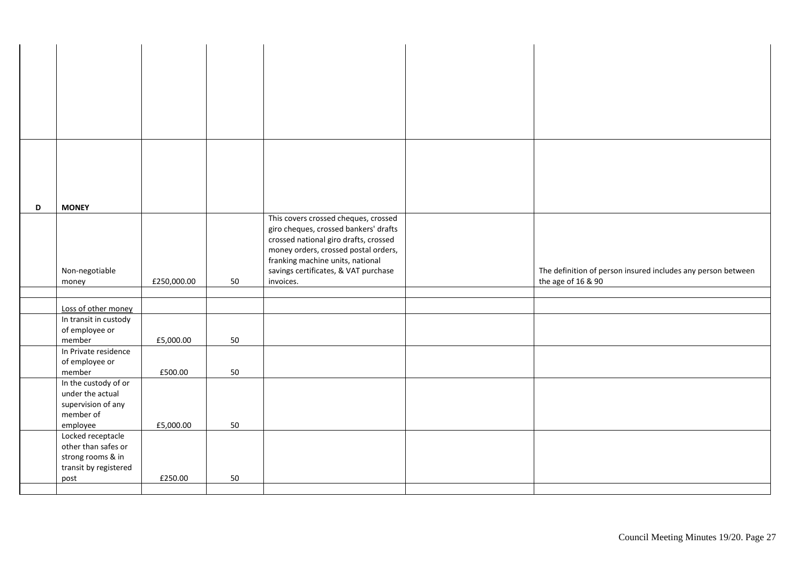| D | <b>MONEY</b>          |             |    |                                       |                                                              |
|---|-----------------------|-------------|----|---------------------------------------|--------------------------------------------------------------|
|   |                       |             |    |                                       |                                                              |
|   |                       |             |    | This covers crossed cheques, crossed  |                                                              |
|   |                       |             |    | giro cheques, crossed bankers' drafts |                                                              |
|   |                       |             |    | crossed national giro drafts, crossed |                                                              |
|   |                       |             |    | money orders, crossed postal orders,  |                                                              |
|   |                       |             |    | franking machine units, national      |                                                              |
|   | Non-negotiable        |             |    | savings certificates, & VAT purchase  | The definition of person insured includes any person between |
|   | money                 | £250,000.00 | 50 | invoices.                             | the age of 16 & 90                                           |
|   |                       |             |    |                                       |                                                              |
|   |                       |             |    |                                       |                                                              |
|   | Loss of other money   |             |    |                                       |                                                              |
|   | In transit in custody |             |    |                                       |                                                              |
|   | of employee or        |             |    |                                       |                                                              |
|   |                       |             |    |                                       |                                                              |
|   | member                | £5,000.00   | 50 |                                       |                                                              |
|   | In Private residence  |             |    |                                       |                                                              |
|   | of employee or        |             |    |                                       |                                                              |
|   | member                | £500.00     | 50 |                                       |                                                              |
|   | In the custody of or  |             |    |                                       |                                                              |
|   | under the actual      |             |    |                                       |                                                              |
|   | supervision of any    |             |    |                                       |                                                              |
|   |                       |             |    |                                       |                                                              |
|   | member of             |             |    |                                       |                                                              |
|   | employee              | £5,000.00   | 50 |                                       |                                                              |
|   | Locked receptacle     |             |    |                                       |                                                              |
|   | other than safes or   |             |    |                                       |                                                              |
|   | strong rooms & in     |             |    |                                       |                                                              |
|   | transit by registered |             |    |                                       |                                                              |
|   |                       |             |    |                                       |                                                              |
|   | post                  | £250.00     | 50 |                                       |                                                              |
|   |                       |             |    |                                       |                                                              |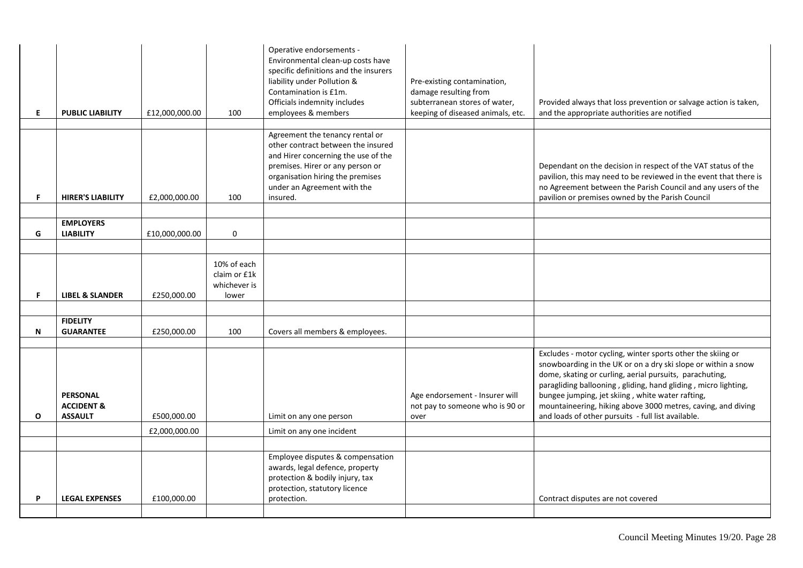| E.           | <b>PUBLIC LIABILITY</b>                                    | £12,000,000.00 | 100                                                  | Operative endorsements -<br>Environmental clean-up costs have<br>specific definitions and the insurers<br>liability under Pollution &<br>Contamination is £1m.<br>Officials indemnity includes<br>employees & members           | Pre-existing contamination,<br>damage resulting from<br>subterranean stores of water,<br>keeping of diseased animals, etc. | Provided always that loss prevention or salvage action is taken,<br>and the appropriate authorities are notified                                                                                                                                                                                                                                                                                                                    |
|--------------|------------------------------------------------------------|----------------|------------------------------------------------------|---------------------------------------------------------------------------------------------------------------------------------------------------------------------------------------------------------------------------------|----------------------------------------------------------------------------------------------------------------------------|-------------------------------------------------------------------------------------------------------------------------------------------------------------------------------------------------------------------------------------------------------------------------------------------------------------------------------------------------------------------------------------------------------------------------------------|
| F.           | <b>HIRER'S LIABILITY</b>                                   | £2,000,000.00  | 100                                                  | Agreement the tenancy rental or<br>other contract between the insured<br>and Hirer concerning the use of the<br>premises. Hirer or any person or<br>organisation hiring the premises<br>under an Agreement with the<br>insured. |                                                                                                                            | Dependant on the decision in respect of the VAT status of the<br>pavilion, this may need to be reviewed in the event that there is<br>no Agreement between the Parish Council and any users of the<br>pavilion or premises owned by the Parish Council                                                                                                                                                                              |
|              | <b>EMPLOYERS</b>                                           |                |                                                      |                                                                                                                                                                                                                                 |                                                                                                                            |                                                                                                                                                                                                                                                                                                                                                                                                                                     |
| G            | <b>LIABILITY</b>                                           | £10,000,000.00 | $\mathbf 0$                                          |                                                                                                                                                                                                                                 |                                                                                                                            |                                                                                                                                                                                                                                                                                                                                                                                                                                     |
|              |                                                            |                |                                                      |                                                                                                                                                                                                                                 |                                                                                                                            |                                                                                                                                                                                                                                                                                                                                                                                                                                     |
| F.           | <b>LIBEL &amp; SLANDER</b>                                 | £250,000.00    | 10% of each<br>claim or £1k<br>whichever is<br>lower |                                                                                                                                                                                                                                 |                                                                                                                            |                                                                                                                                                                                                                                                                                                                                                                                                                                     |
|              |                                                            |                |                                                      |                                                                                                                                                                                                                                 |                                                                                                                            |                                                                                                                                                                                                                                                                                                                                                                                                                                     |
| N            | <b>FIDELITY</b><br><b>GUARANTEE</b>                        | £250,000.00    | 100                                                  | Covers all members & employees.                                                                                                                                                                                                 |                                                                                                                            |                                                                                                                                                                                                                                                                                                                                                                                                                                     |
| $\mathbf{o}$ | <b>PERSONAL</b><br><b>ACCIDENT &amp;</b><br><b>ASSAULT</b> | £500,000.00    |                                                      | Limit on any one person                                                                                                                                                                                                         | Age endorsement - Insurer will<br>not pay to someone who is 90 or<br>over                                                  | Excludes - motor cycling, winter sports other the skiing or<br>snowboarding in the UK or on a dry ski slope or within a snow<br>dome, skating or curling, aerial pursuits, parachuting,<br>paragliding ballooning, gliding, hand gliding, micro lighting,<br>bungee jumping, jet skiing, white water rafting,<br>mountaineering, hiking above 3000 metres, caving, and diving<br>and loads of other pursuits - full list available. |
|              |                                                            | £2,000,000.00  |                                                      | Limit on any one incident                                                                                                                                                                                                       |                                                                                                                            |                                                                                                                                                                                                                                                                                                                                                                                                                                     |
|              |                                                            |                |                                                      |                                                                                                                                                                                                                                 |                                                                                                                            |                                                                                                                                                                                                                                                                                                                                                                                                                                     |
| P            | <b>LEGAL EXPENSES</b>                                      | £100,000.00    |                                                      | Employee disputes & compensation<br>awards, legal defence, property<br>protection & bodily injury, tax<br>protection, statutory licence<br>protection.                                                                          |                                                                                                                            | Contract disputes are not covered                                                                                                                                                                                                                                                                                                                                                                                                   |
|              |                                                            |                |                                                      |                                                                                                                                                                                                                                 |                                                                                                                            |                                                                                                                                                                                                                                                                                                                                                                                                                                     |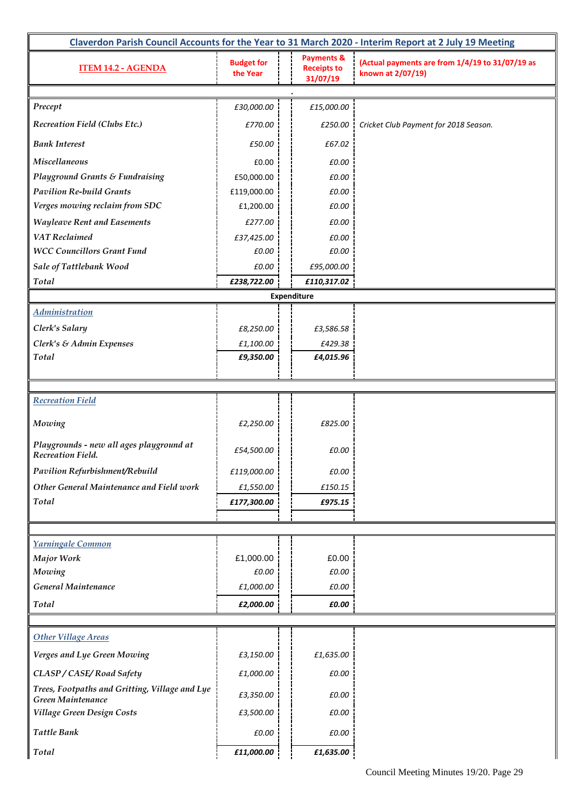| Claverdon Parish Council Accounts for the Year to 31 March 2020 - Interim Report at 2 July 19 Meeting |                               |                                                         |                                                                      |  |  |  |  |  |  |
|-------------------------------------------------------------------------------------------------------|-------------------------------|---------------------------------------------------------|----------------------------------------------------------------------|--|--|--|--|--|--|
| <b>ITEM 14.2 - AGENDA</b>                                                                             | <b>Budget for</b><br>the Year | <b>Payments &amp;</b><br><b>Receipts to</b><br>31/07/19 | (Actual payments are from 1/4/19 to 31/07/19 as<br>known at 2/07/19) |  |  |  |  |  |  |
|                                                                                                       |                               |                                                         |                                                                      |  |  |  |  |  |  |
| Precept                                                                                               | £30,000.00                    | £15,000.00                                              |                                                                      |  |  |  |  |  |  |
| Recreation Field (Clubs Etc.)                                                                         | £770.00                       | £250.00                                                 | Cricket Club Payment for 2018 Season.                                |  |  |  |  |  |  |
| <b>Bank Interest</b>                                                                                  | £50.00                        | £67.02                                                  |                                                                      |  |  |  |  |  |  |
| Miscellaneous                                                                                         | £0.00                         | £0.00                                                   |                                                                      |  |  |  |  |  |  |
| <b>Playground Grants &amp; Fundraising</b>                                                            | £50,000.00                    | £0.00                                                   |                                                                      |  |  |  |  |  |  |
| <b>Pavilion Re-build Grants</b>                                                                       | £119,000.00                   | £0.00                                                   |                                                                      |  |  |  |  |  |  |
| Verges mowing reclaim from SDC                                                                        | £1,200.00                     | £0.00                                                   |                                                                      |  |  |  |  |  |  |
| <b>Wayleave Rent and Easements</b>                                                                    | £277.00                       | £0.00                                                   |                                                                      |  |  |  |  |  |  |
| <b>VAT Reclaimed</b>                                                                                  | £37,425.00                    | £0.00                                                   |                                                                      |  |  |  |  |  |  |
| <b>WCC Councillors Grant Fund</b>                                                                     | £0.00                         | £0.00                                                   |                                                                      |  |  |  |  |  |  |
| Sale of Tattlebank Wood                                                                               | £0.00                         | £95,000.00                                              |                                                                      |  |  |  |  |  |  |
| Total                                                                                                 | £238,722.00                   | £110,317.02                                             |                                                                      |  |  |  |  |  |  |
|                                                                                                       |                               | Expenditure                                             |                                                                      |  |  |  |  |  |  |
| <b>Administration</b>                                                                                 |                               |                                                         |                                                                      |  |  |  |  |  |  |
| Clerk's Salary                                                                                        | £8,250.00                     | £3,586.58                                               |                                                                      |  |  |  |  |  |  |
| Clerk's & Admin Expenses                                                                              | £1,100.00                     | £429.38                                                 |                                                                      |  |  |  |  |  |  |
| Total                                                                                                 | £9,350.00                     | £4,015.96                                               |                                                                      |  |  |  |  |  |  |
|                                                                                                       |                               |                                                         |                                                                      |  |  |  |  |  |  |
|                                                                                                       |                               |                                                         |                                                                      |  |  |  |  |  |  |
| <b>Recreation Field</b>                                                                               |                               |                                                         |                                                                      |  |  |  |  |  |  |
| Mowing                                                                                                | £2,250.00                     | £825.00                                                 |                                                                      |  |  |  |  |  |  |
| Playgrounds - new all ages playground at<br>Recreation Field.                                         | £54,500.00                    | £0.00                                                   |                                                                      |  |  |  |  |  |  |
| Pavilion Refurbishment/Rebuild                                                                        | £119,000.00                   | £0.00                                                   |                                                                      |  |  |  |  |  |  |
| Other General Maintenance and Field work                                                              | £1,550.00                     | £150.15                                                 |                                                                      |  |  |  |  |  |  |
| <b>Total</b>                                                                                          | £177,300.00                   | £975.15                                                 |                                                                      |  |  |  |  |  |  |
|                                                                                                       |                               |                                                         |                                                                      |  |  |  |  |  |  |
|                                                                                                       |                               |                                                         |                                                                      |  |  |  |  |  |  |
| Yarningale Common                                                                                     |                               |                                                         |                                                                      |  |  |  |  |  |  |
| <b>Major Work</b>                                                                                     | £1,000.00                     | £0.00                                                   |                                                                      |  |  |  |  |  |  |
| Mowing                                                                                                | £0.00                         | £0.00                                                   |                                                                      |  |  |  |  |  |  |
| General Maintenance                                                                                   | £1,000.00                     | £0.00                                                   |                                                                      |  |  |  |  |  |  |
| Total                                                                                                 | £2,000.00                     | £0.00                                                   |                                                                      |  |  |  |  |  |  |
|                                                                                                       |                               |                                                         |                                                                      |  |  |  |  |  |  |
| <b>Other Village Areas</b>                                                                            |                               |                                                         |                                                                      |  |  |  |  |  |  |
| Verges and Lye Green Mowing                                                                           | £3,150.00                     | £1,635.00                                               |                                                                      |  |  |  |  |  |  |
| CLASP / CASE/Road Safety                                                                              | £1,000.00                     | £0.00                                                   |                                                                      |  |  |  |  |  |  |
| Trees, Footpaths and Gritting, Village and Lye<br>Green Maintenance                                   | £3,350.00                     | £0.00                                                   |                                                                      |  |  |  |  |  |  |
| Village Green Design Costs                                                                            | £3,500.00                     | £0.00                                                   |                                                                      |  |  |  |  |  |  |
| <b>Tattle Bank</b>                                                                                    | £0.00                         | £0.00                                                   |                                                                      |  |  |  |  |  |  |
| Total                                                                                                 | £11,000.00                    | £1,635.00                                               |                                                                      |  |  |  |  |  |  |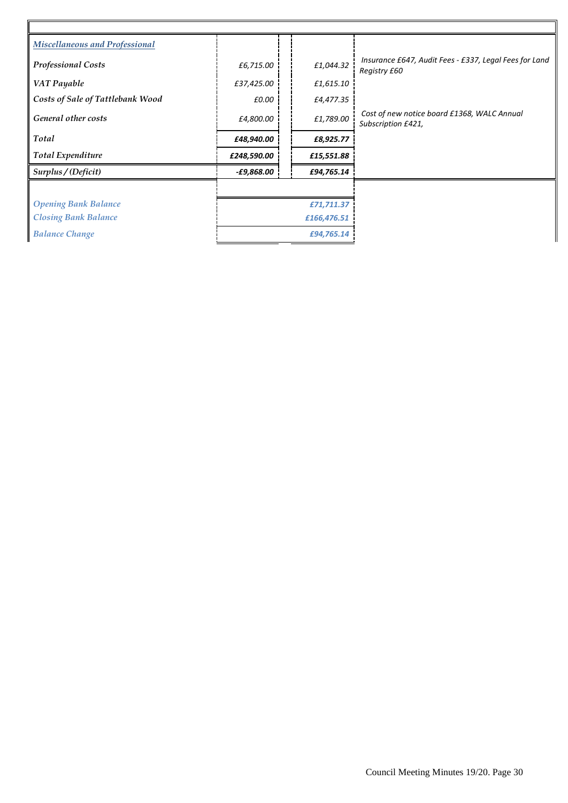| <b>Miscellaneous and Professional</b> |                          |             |                                                                        |
|---------------------------------------|--------------------------|-------------|------------------------------------------------------------------------|
| <b>Professional Costs</b>             | £6,715.00                | £1,044.32   | Insurance £647, Audit Fees - £337, Legal Fees for Land<br>Registry £60 |
| VAT Payable                           | £37,425.00               | £1,615.10   |                                                                        |
| Costs of Sale of Tattlebank Wood      | £0.00                    | £4,477.35   |                                                                        |
| General other costs                   | £4,800.00                | £1,789.00   | Cost of new notice board £1368, WALC Annual<br>Subscription £421,      |
| Total                                 | £48,940.00               | £8,925.77   |                                                                        |
| <b>Total Expenditure</b>              | £248,590.00              | £15,551.88  |                                                                        |
| Surplus / (Deficit)                   | <i><b>-£9,868.00</b></i> | £94,765.14  |                                                                        |
|                                       |                          |             |                                                                        |
| <b>Opening Bank Balance</b>           | £71,711.37               |             |                                                                        |
| <b>Closing Bank Balance</b>           |                          | £166,476.51 |                                                                        |
| <b>Balance Change</b>                 | £94,765.14               |             |                                                                        |
|                                       |                          |             |                                                                        |

 $\mathbf{r}$